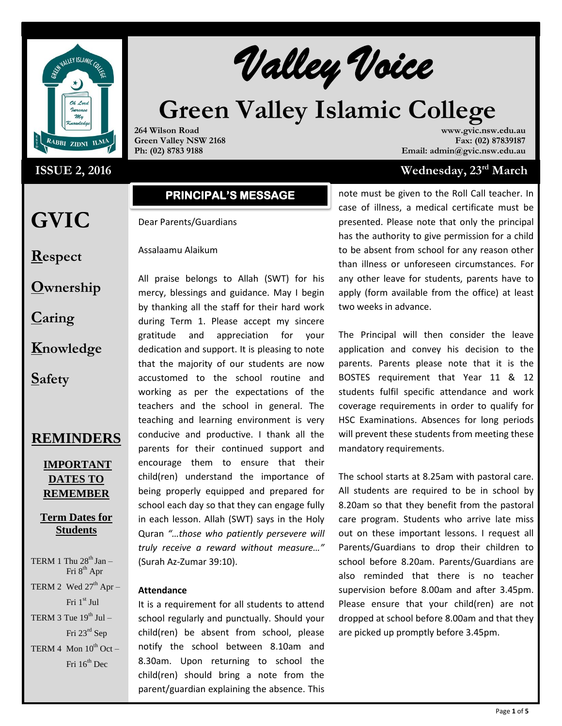

### **ISSUE 2, 2016**

**GVIC** 

**Respect**

**Caring**

**Safety**

**Ownership**

**Knowledge**

**REMINDERS**

**IMPORTANT DATES TO REMEMBER**

**Term Dates for Students**

TERM 1 Thu  $28<sup>th</sup>$  Jan – Fri 8<sup>th</sup> Apr TERM 2 Wed  $27<sup>th</sup>$  Apr – Fri 1st Jul

TERM 3 Tue  $19^{th}$  Jul –

TERM 4 Mon  $10^{th}$  Oct –

Fri 23rd Sep

Fri  $16^{th}$  Dec

# **Valley Voice**

# **Creen Valley Islamic College**

**264 Wilson Road Green Valley NSW 2168 Ph: (02) 8783 9188**

**www.gvic.nsw.edu.au Fax: (02) 87839187 Email: admin@gvic.nsw.edu.au**

## **ISSUE 2, 2016 Wednesday, 23rd March**

# **PRINCIPAL'S MESSAGE**

#### Dear Parents/Guardians

Assalaamu Alaikum

All praise belongs to Allah (SWT) for his mercy, blessings and guidance. May I begin by thanking all the staff for their hard work during Term 1. Please accept my sincere gratitude and appreciation for your dedication and support. It is pleasing to note that the majority of our students are now accustomed to the school routine and working as per the expectations of the teachers and the school in general. The teaching and learning environment is very conducive and productive. I thank all the parents for their continued support and encourage them to ensure that their child(ren) understand the importance of being properly equipped and prepared for school each day so that they can engage fully in each lesson. Allah (SWT) says in the Holy Quran *"…those who patiently persevere will truly receive a reward without measure…"* (Surah Az-Zumar 39:10).

#### **Attendance**

It is a requirement for all students to attend school regularly and punctually. Should your child(ren) be absent from school, please notify the school between 8.10am and 8.30am. Upon returning to school the child(ren) should bring a note from the parent/guardian explaining the absence. This note must be given to the Roll Call teacher. In case of illness, a medical certificate must be presented. Please note that only the principal has the authority to give permission for a child to be absent from school for any reason other than illness or unforeseen circumstances. For any other leave for students, parents have to apply (form available from the office) at least two weeks in advance.

The Principal will then consider the leave application and convey his decision to the parents. Parents please note that it is the BOSTES requirement that Year 11 & 12 students fulfil specific attendance and work coverage requirements in order to qualify for HSC Examinations. Absences for long periods will prevent these students from meeting these mandatory requirements.

The school starts at 8.25am with pastoral care. All students are required to be in school by 8.20am so that they benefit from the pastoral care program. Students who arrive late miss out on these important lessons. I request all Parents/Guardians to drop their children to school before 8.20am. Parents/Guardians are also reminded that there is no teacher supervision before 8.00am and after 3.45pm. Please ensure that your child(ren) are not dropped at school before 8.00am and that they are picked up promptly before 3.45pm.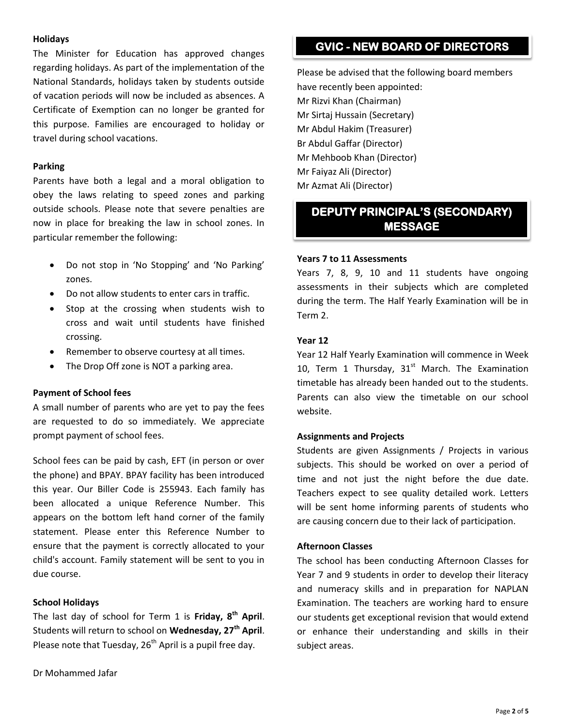#### **Holidays**

The Minister for Education has approved changes regarding holidays. As part of the implementation of the National Standards, holidays taken by students outside of vacation periods will now be included as absences. A Certificate of Exemption can no longer be granted for this purpose. Families are encouraged to holiday or travel during school vacations.

#### **Parking**

Parents have both a legal and a moral obligation to obey the laws relating to speed zones and parking outside schools. Please note that severe penalties are now in place for breaking the law in school zones. In particular remember the following:

- Do not stop in 'No Stopping' and 'No Parking' zones.
- Do not allow students to enter cars in traffic.
- Stop at the crossing when students wish to cross and wait until students have finished crossing.
- Remember to observe courtesy at all times.
- The Drop Off zone is NOT a parking area.

#### **Payment of School fees**

A small number of parents who are yet to pay the fees are requested to do so immediately. We appreciate prompt payment of school fees.

School fees can be paid by cash, EFT (in person or over the phone) and BPAY. BPAY facility has been introduced this year. Our Biller Code is 255943. Each family has been allocated a unique Reference Number. This appears on the bottom left hand corner of the family statement. Please enter this Reference Number to ensure that the payment is correctly allocated to your child's account. Family statement will be sent to you in due course.

#### **School Holidays**

The last day of school for Term 1 is **Friday, 8 th April**. Students will return to school on **Wednesday, 27 th April**. Please note that Tuesday, 26<sup>th</sup> April is a pupil free day.

# **GVIC - NEW BOARD OF DIRECTORS**

Please be advised that the following board members have recently been appointed: Mr Rizvi Khan (Chairman) Mr Sirtaj Hussain (Secretary) Mr Abdul Hakim (Treasurer) Br Abdul Gaffar (Director) Mr Mehboob Khan (Director) Mr Faiyaz Ali (Director) Mr Azmat Ali (Director)

# **DEPUTY PRINCIPAL'S (SECONDARY) MESSAGE**

#### **Years 7 to 11 Assessments**

Years 7, 8, 9, 10 and 11 students have ongoing assessments in their subjects which are completed during the term. The Half Yearly Examination will be in Term 2.

#### **Year 12**

Year 12 Half Yearly Examination will commence in Week 10, Term 1 Thursday,  $31<sup>st</sup>$  March. The Examination timetable has already been handed out to the students. Parents can also view the timetable on our school website.

#### **Assignments and Projects**

Students are given Assignments / Projects in various subjects. This should be worked on over a period of time and not just the night before the due date. Teachers expect to see quality detailed work. Letters will be sent home informing parents of students who are causing concern due to their lack of participation.

#### **Afternoon Classes**

The school has been conducting Afternoon Classes for Year 7 and 9 students in order to develop their literacy and numeracy skills and in preparation for NAPLAN Examination. The teachers are working hard to ensure our students get exceptional revision that would extend or enhance their understanding and skills in their subject areas.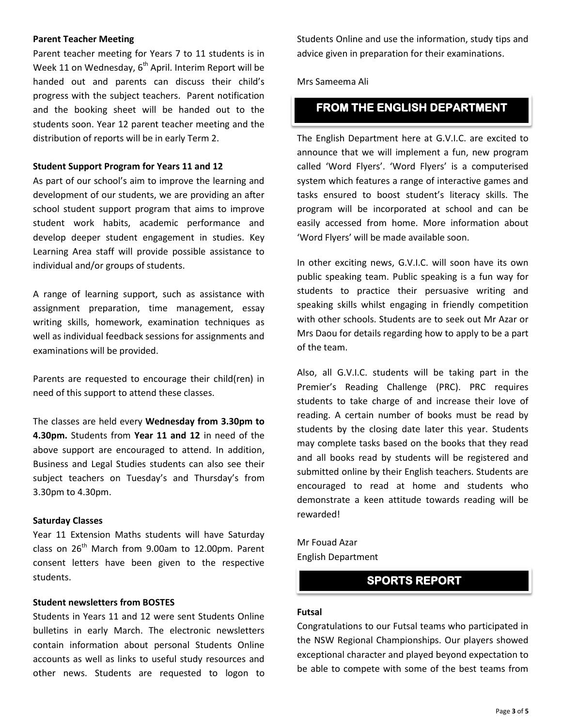#### **Parent Teacher Meeting**

Parent teacher meeting for Years 7 to 11 students is in Week 11 on Wednesday,  $6^{th}$  April. Interim Report will be handed out and parents can discuss their child's progress with the subject teachers. Parent notification and the booking sheet will be handed out to the students soon. Year 12 parent teacher meeting and the distribution of reports will be in early Term 2.

#### **Student Support Program for Years 11 and 12**

As part of our school's aim to improve the learning and development of our students, we are providing an after school student support program that aims to improve student work habits, academic performance and develop deeper student engagement in studies. Key Learning Area staff will provide possible assistance to individual and/or groups of students.

A range of learning support, such as assistance with assignment preparation, time management, essay writing skills, homework, examination techniques as well as individual feedback sessions for assignments and examinations will be provided.

Parents are requested to encourage their child(ren) in need of this support to attend these classes.

The classes are held every **Wednesday from 3.30pm to 4.30pm.** Students from **Year 11 and 12** in need of the above support are encouraged to attend. In addition, Business and Legal Studies students can also see their subject teachers on Tuesday's and Thursday's from 3.30pm to 4.30pm.

#### **Saturday Classes**

Year 11 Extension Maths students will have Saturday class on  $26<sup>th</sup>$  March from 9.00am to 12.00pm. Parent consent letters have been given to the respective students.

#### **Student newsletters from BOSTES**

Students in Years 11 and 12 were sent Students Online bulletins in early March. The electronic newsletters contain information about personal Students Online accounts as well as links to useful study resources and other news. Students are requested to logon to

Students Online and use the information, study tips and advice given in preparation for their examinations.

Mrs Sameema Ali

# **FROM THE ENGLISH DEPARTMENT**

The English Department here at G.V.I.C. are excited to announce that we will implement a fun, new program called 'Word Flyers'. 'Word Flyers' is a computerised system which features a range of interactive games and tasks ensured to boost student's literacy skills. The program will be incorporated at school and can be easily accessed from home. More information about 'Word Flyers' will be made available soon.

In other exciting news, G.V.I.C. will soon have its own public speaking team. Public speaking is a fun way for students to practice their persuasive writing and speaking skills whilst engaging in friendly competition with other schools. Students are to seek out Mr Azar or Mrs Daou for details regarding how to apply to be a part of the team.

Also, all G.V.I.C. students will be taking part in the Premier's Reading Challenge (PRC). PRC requires students to take charge of and increase their love of reading. A certain number of books must be read by students by the closing date later this year. Students may complete tasks based on the books that they read and all books read by students will be registered and submitted online by their English teachers. Students are encouraged to read at home and students who demonstrate a keen attitude towards reading will be rewarded!

Mr Fouad Azar English Department

# **SPORTS REPORT**

#### **Futsal**

Congratulations to our Futsal teams who participated in the NSW Regional Championships. Our players showed exceptional character and played beyond expectation to be able to compete with some of the best teams from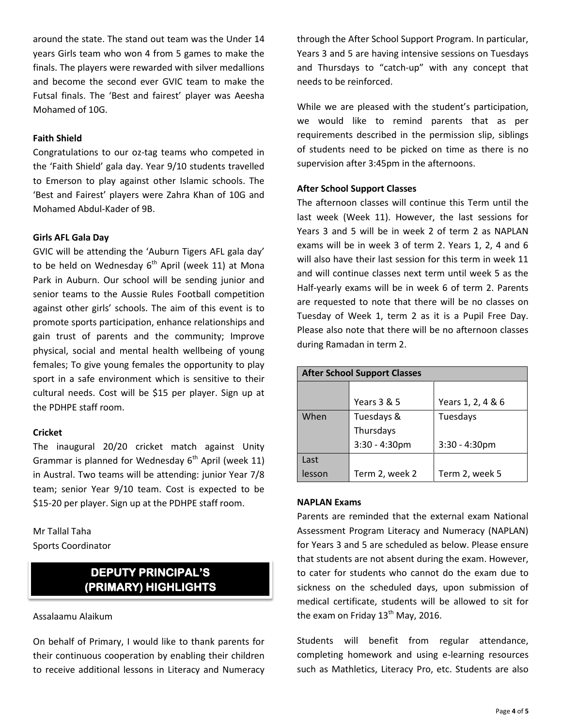around the state. The stand out team was the Under 14 years Girls team who won 4 from 5 games to make the finals. The players were rewarded with silver medallions and become the second ever GVIC team to make the Futsal finals. The 'Best and fairest' player was Aeesha Mohamed of 10G.

#### **Faith Shield**

Congratulations to our oz-tag teams who competed in the 'Faith Shield' gala day. Year 9/10 students travelled to Emerson to play against other Islamic schools. The 'Best and Fairest' players were Zahra Khan of 10G and Mohamed Abdul-Kader of 9B.

#### **Girls AFL Gala Day**

GVIC will be attending the 'Auburn Tigers AFL gala day' to be held on Wednesday  $6<sup>th</sup>$  April (week 11) at Mona Park in Auburn. Our school will be sending junior and senior teams to the Aussie Rules Football competition against other girls' schools. The aim of this event is to promote sports participation, enhance relationships and gain trust of parents and the community; Improve physical, social and mental health wellbeing of young females; To give young females the opportunity to play sport in a safe environment which is sensitive to their cultural needs. Cost will be \$15 per player. Sign up at the PDHPE staff room.

#### **Cricket**

The inaugural 20/20 cricket match against Unity Grammar is planned for Wednesday  $6<sup>th</sup>$  April (week 11) in Austral. Two teams will be attending: junior Year 7/8 team; senior Year 9/10 team. Cost is expected to be \$15-20 per player. Sign up at the PDHPE staff room.

#### Mr Tallal Taha Sports Coordinator

# **DEPUTY PRINCIPAL'S (PRIMARY) HIGHLIGHTS**

#### Assalaamu Alaikum

On behalf of Primary, I would like to thank parents for their continuous cooperation by enabling their children to receive additional lessons in Literacy and Numeracy through the After School Support Program. In particular, Years 3 and 5 are having intensive sessions on Tuesdays and Thursdays to "catch-up" with any concept that needs to be reinforced.

While we are pleased with the student's participation, we would like to remind parents that as per requirements described in the permission slip, siblings of students need to be picked on time as there is no supervision after 3:45pm in the afternoons.

#### **After School Support Classes**

The afternoon classes will continue this Term until the last week (Week 11). However, the last sessions for Years 3 and 5 will be in week 2 of term 2 as NAPLAN exams will be in week 3 of term 2. Years 1, 2, 4 and 6 will also have their last session for this term in week 11 and will continue classes next term until week 5 as the Half-yearly exams will be in week 6 of term 2. Parents are requested to note that there will be no classes on Tuesday of Week 1, term 2 as it is a Pupil Free Day. Please also note that there will be no afternoon classes during Ramadan in term 2.

| <b>After School Support Classes</b> |                  |                   |  |  |
|-------------------------------------|------------------|-------------------|--|--|
|                                     |                  |                   |  |  |
|                                     | Years 3 & 5      | Years 1, 2, 4 & 6 |  |  |
| When                                | Tuesdays &       | Tuesdays          |  |  |
|                                     | Thursdays        |                   |  |  |
|                                     | $3:30 - 4:30$ pm | $3:30 - 4:30$ pm  |  |  |
| Last                                |                  |                   |  |  |
| lesson                              | Term 2, week 2   | Term 2, week 5    |  |  |

#### **NAPLAN Exams**

Parents are reminded that the external exam National Assessment Program Literacy and Numeracy (NAPLAN) for Years 3 and 5 are scheduled as below. Please ensure that students are not absent during the exam. However, to cater for students who cannot do the exam due to sickness on the scheduled days, upon submission of medical certificate, students will be allowed to sit for the exam on Friday  $13<sup>th</sup>$  May, 2016.

Students will benefit from regular attendance, completing homework and using e-learning resources such as Mathletics, Literacy Pro, etc. Students are also